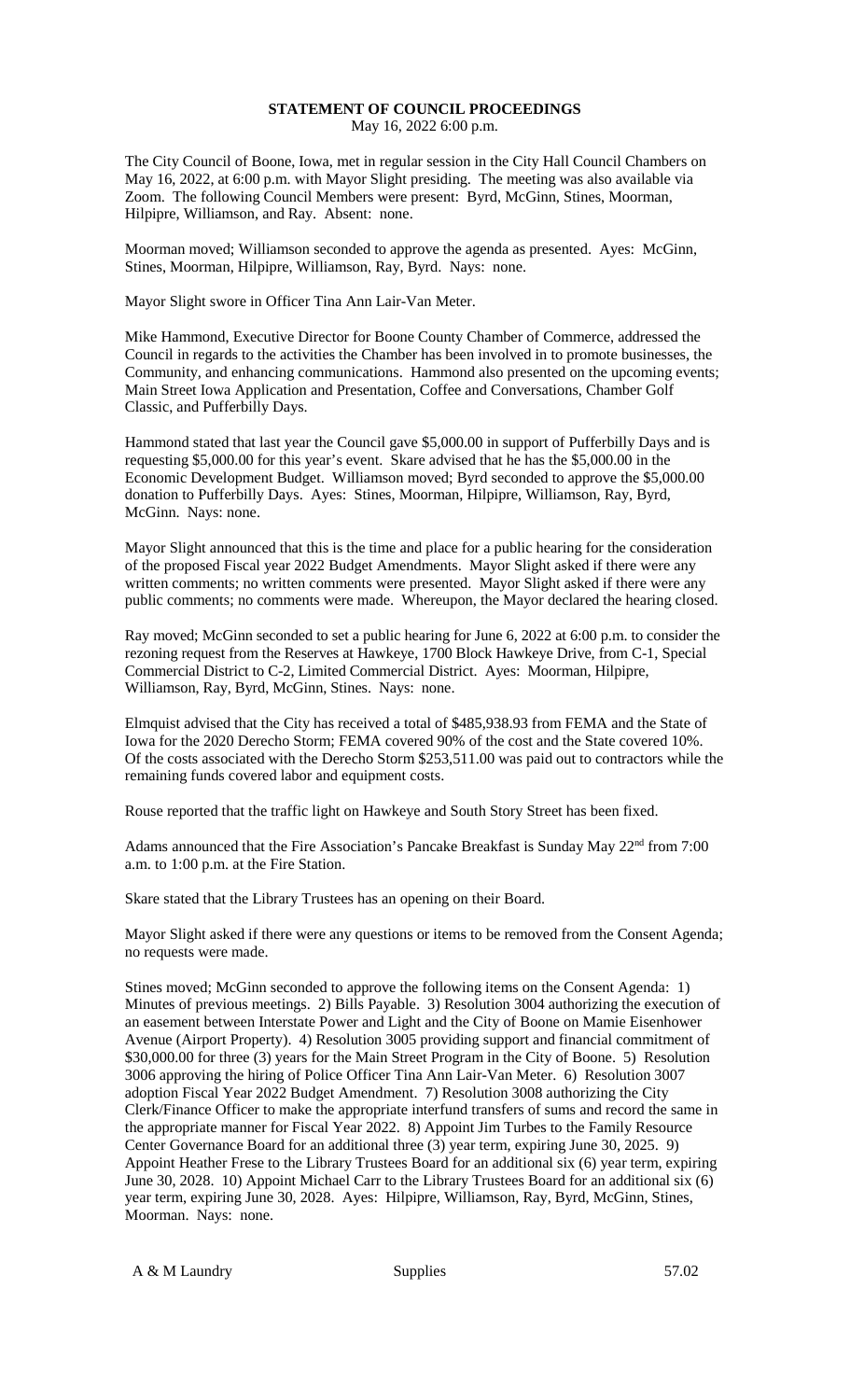## **STATEMENT OF COUNCIL PROCEEDINGS** May 16, 2022 6:00 p.m.

The City Council of Boone, Iowa, met in regular session in the City Hall Council Chambers on May 16, 2022, at 6:00 p.m. with Mayor Slight presiding. The meeting was also available via Zoom. The following Council Members were present: Byrd, McGinn, Stines, Moorman, Hilpipre, Williamson, and Ray. Absent: none.

Moorman moved; Williamson seconded to approve the agenda as presented. Ayes: McGinn, Stines, Moorman, Hilpipre, Williamson, Ray, Byrd. Nays: none.

Mayor Slight swore in Officer Tina Ann Lair-Van Meter.

Mike Hammond, Executive Director for Boone County Chamber of Commerce, addressed the Council in regards to the activities the Chamber has been involved in to promote businesses, the Community, and enhancing communications. Hammond also presented on the upcoming events; Main Street Iowa Application and Presentation, Coffee and Conversations, Chamber Golf Classic, and Pufferbilly Days.

Hammond stated that last year the Council gave \$5,000.00 in support of Pufferbilly Days and is requesting \$5,000.00 for this year's event. Skare advised that he has the \$5,000.00 in the Economic Development Budget. Williamson moved; Byrd seconded to approve the \$5,000.00 donation to Pufferbilly Days. Ayes: Stines, Moorman, Hilpipre, Williamson, Ray, Byrd, McGinn. Nays: none.

Mayor Slight announced that this is the time and place for a public hearing for the consideration of the proposed Fiscal year 2022 Budget Amendments. Mayor Slight asked if there were any written comments; no written comments were presented. Mayor Slight asked if there were any public comments; no comments were made. Whereupon, the Mayor declared the hearing closed.

Ray moved; McGinn seconded to set a public hearing for June 6, 2022 at 6:00 p.m. to consider the rezoning request from the Reserves at Hawkeye, 1700 Block Hawkeye Drive, from C-1, Special Commercial District to C-2, Limited Commercial District. Ayes: Moorman, Hilpipre, Williamson, Ray, Byrd, McGinn, Stines. Nays: none.

Elmquist advised that the City has received a total of \$485,938.93 from FEMA and the State of Iowa for the 2020 Derecho Storm; FEMA covered 90% of the cost and the State covered 10%. Of the costs associated with the Derecho Storm \$253,511.00 was paid out to contractors while the remaining funds covered labor and equipment costs.

Rouse reported that the traffic light on Hawkeye and South Story Street has been fixed.

Adams announced that the Fire Association's Pancake Breakfast is Sunday May 22<sup>nd</sup> from 7:00 a.m. to 1:00 p.m. at the Fire Station.

Skare stated that the Library Trustees has an opening on their Board.

Mayor Slight asked if there were any questions or items to be removed from the Consent Agenda; no requests were made.

Stines moved; McGinn seconded to approve the following items on the Consent Agenda: 1) Minutes of previous meetings. 2) Bills Payable. 3) Resolution 3004 authorizing the execution of an easement between Interstate Power and Light and the City of Boone on Mamie Eisenhower Avenue (Airport Property). 4) Resolution 3005 providing support and financial commitment of \$30,000.00 for three (3) years for the Main Street Program in the City of Boone. 5) Resolution 3006 approving the hiring of Police Officer Tina Ann Lair-Van Meter. 6) Resolution 3007 adoption Fiscal Year 2022 Budget Amendment. 7) Resolution 3008 authorizing the City Clerk/Finance Officer to make the appropriate interfund transfers of sums and record the same in the appropriate manner for Fiscal Year 2022. 8) Appoint Jim Turbes to the Family Resource Center Governance Board for an additional three (3) year term, expiring June 30, 2025. 9) Appoint Heather Frese to the Library Trustees Board for an additional six (6) year term, expiring June 30, 2028. 10) Appoint Michael Carr to the Library Trustees Board for an additional six (6) year term, expiring June 30, 2028. Ayes: Hilpipre, Williamson, Ray, Byrd, McGinn, Stines, Moorman. Nays: none.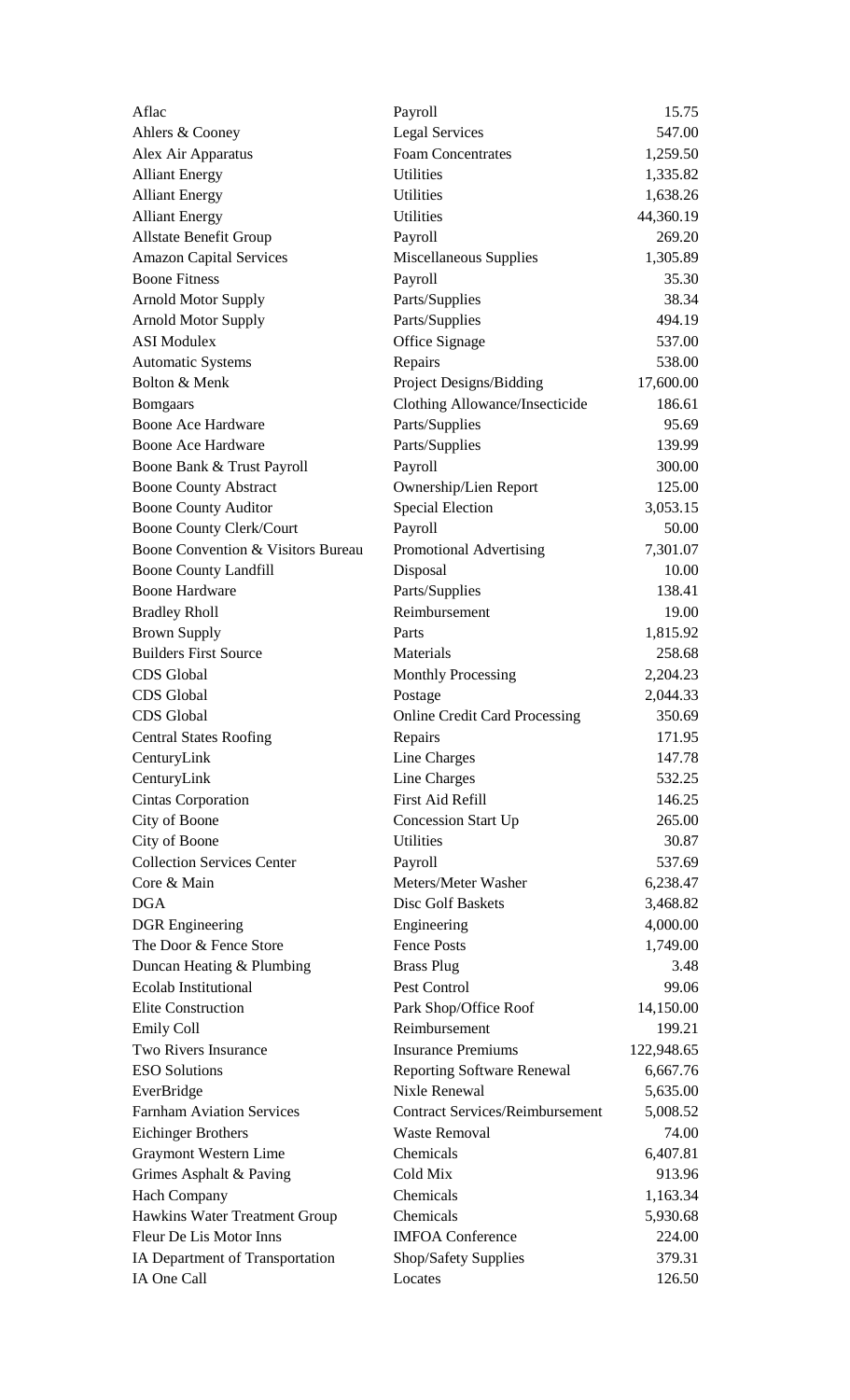| Aflac                              | Payroll                                | 15.75      |
|------------------------------------|----------------------------------------|------------|
| Ahlers & Cooney                    | <b>Legal Services</b>                  | 547.00     |
| Alex Air Apparatus                 | <b>Foam Concentrates</b>               | 1,259.50   |
| <b>Alliant Energy</b>              | <b>Utilities</b>                       | 1,335.82   |
| <b>Alliant Energy</b>              | <b>Utilities</b>                       | 1,638.26   |
| <b>Alliant Energy</b>              | Utilities                              | 44,360.19  |
| <b>Allstate Benefit Group</b>      | Payroll                                | 269.20     |
| <b>Amazon Capital Services</b>     | Miscellaneous Supplies                 | 1,305.89   |
| <b>Boone Fitness</b>               | Payroll                                | 35.30      |
| <b>Arnold Motor Supply</b>         | Parts/Supplies                         | 38.34      |
| <b>Arnold Motor Supply</b>         | Parts/Supplies                         | 494.19     |
| <b>ASI</b> Modulex                 | Office Signage                         | 537.00     |
| <b>Automatic Systems</b>           | Repairs                                | 538.00     |
| Bolton & Menk                      | Project Designs/Bidding                | 17,600.00  |
| <b>Bomgaars</b>                    | Clothing Allowance/Insecticide         | 186.61     |
| <b>Boone Ace Hardware</b>          | Parts/Supplies                         | 95.69      |
| <b>Boone Ace Hardware</b>          | Parts/Supplies                         | 139.99     |
| Boone Bank & Trust Payroll         | Payroll                                | 300.00     |
| <b>Boone County Abstract</b>       | Ownership/Lien Report                  | 125.00     |
| <b>Boone County Auditor</b>        | <b>Special Election</b>                | 3,053.15   |
| <b>Boone County Clerk/Court</b>    | Payroll                                | 50.00      |
| Boone Convention & Visitors Bureau | Promotional Advertising                | 7,301.07   |
| <b>Boone County Landfill</b>       | Disposal                               | 10.00      |
| <b>Boone Hardware</b>              | Parts/Supplies                         | 138.41     |
| <b>Bradley Rholl</b>               | Reimbursement                          | 19.00      |
| <b>Brown Supply</b>                | Parts                                  | 1,815.92   |
| <b>Builders First Source</b>       | Materials                              | 258.68     |
| <b>CDS</b> Global                  | <b>Monthly Processing</b>              | 2,204.23   |
| <b>CDS</b> Global                  | Postage                                | 2,044.33   |
| CDS Global                         | <b>Online Credit Card Processing</b>   | 350.69     |
| <b>Central States Roofing</b>      | Repairs                                | 171.95     |
| CenturyLink                        | Line Charges                           | 147.78     |
| CenturyLink                        | Line Charges                           | 532.25     |
| Cintas Corporation                 | <b>First Aid Refill</b>                | 146.25     |
| City of Boone                      | <b>Concession Start Up</b>             | 265.00     |
| City of Boone                      | <b>Utilities</b>                       | 30.87      |
| <b>Collection Services Center</b>  | Payroll                                | 537.69     |
| Core & Main                        | Meters/Meter Washer                    | 6,238.47   |
| <b>DGA</b>                         | Disc Golf Baskets                      | 3,468.82   |
| <b>DGR</b> Engineering             | Engineering                            | 4,000.00   |
| The Door & Fence Store             | <b>Fence Posts</b>                     | 1,749.00   |
| Duncan Heating & Plumbing          | <b>Brass Plug</b>                      | 3.48       |
| <b>Ecolab Institutional</b>        | Pest Control                           | 99.06      |
| <b>Elite Construction</b>          | Park Shop/Office Roof                  | 14,150.00  |
| <b>Emily Coll</b>                  | Reimbursement                          | 199.21     |
| <b>Two Rivers Insurance</b>        | <b>Insurance Premiums</b>              | 122,948.65 |
| <b>ESO Solutions</b>               | <b>Reporting Software Renewal</b>      | 6,667.76   |
| EverBridge                         | Nixle Renewal                          | 5,635.00   |
| <b>Farnham Aviation Services</b>   | <b>Contract Services/Reimbursement</b> | 5,008.52   |
| <b>Eichinger Brothers</b>          | <b>Waste Removal</b>                   | 74.00      |
| Graymont Western Lime              | Chemicals                              | 6,407.81   |
| Grimes Asphalt & Paving            | Cold Mix                               | 913.96     |
| <b>Hach Company</b>                | Chemicals                              | 1,163.34   |
| Hawkins Water Treatment Group      | Chemicals                              | 5,930.68   |
| Fleur De Lis Motor Inns            | <b>IMFOA Conference</b>                | 224.00     |
| IA Department of Transportation    | Shop/Safety Supplies                   | 379.31     |
| IA One Call                        | Locates                                | 126.50     |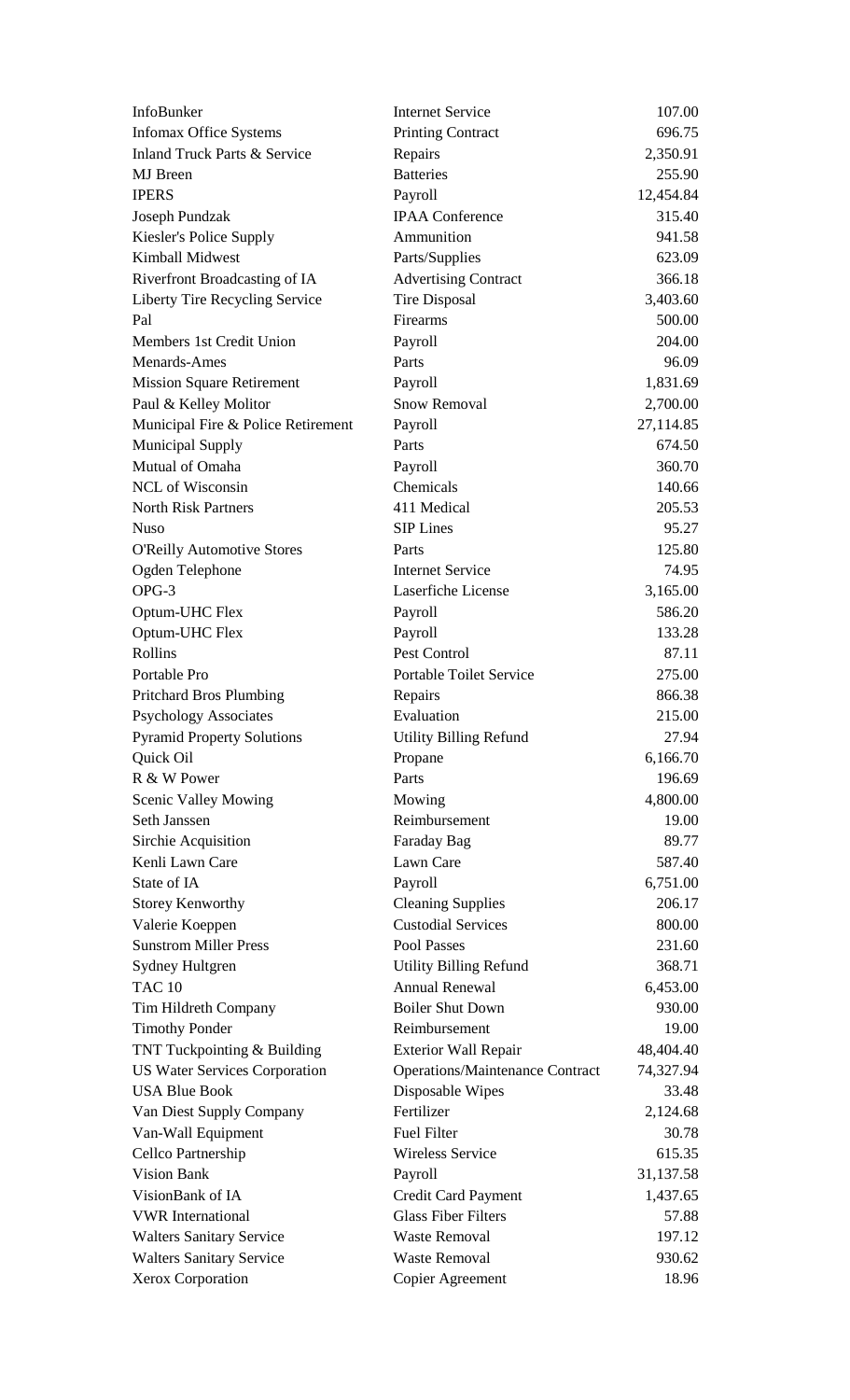| InfoBunker                                                          | <b>Internet Service</b>                                               | 107.00                 |
|---------------------------------------------------------------------|-----------------------------------------------------------------------|------------------------|
| <b>Infomax Office Systems</b>                                       | <b>Printing Contract</b>                                              | 696.75                 |
| <b>Inland Truck Parts &amp; Service</b>                             | Repairs                                                               | 2,350.91               |
| <b>MJ</b> Breen                                                     | <b>Batteries</b>                                                      | 255.90                 |
| <b>IPERS</b>                                                        | Payroll                                                               | 12,454.84              |
| Joseph Pundzak                                                      | <b>IPAA Conference</b>                                                | 315.40                 |
| Kiesler's Police Supply                                             | Ammunition                                                            | 941.58                 |
| <b>Kimball Midwest</b>                                              | Parts/Supplies                                                        | 623.09                 |
| Riverfront Broadcasting of IA                                       | <b>Advertising Contract</b>                                           | 366.18                 |
| Liberty Tire Recycling Service                                      | <b>Tire Disposal</b>                                                  | 3,403.60               |
| Pal                                                                 | Firearms                                                              | 500.00                 |
| Members 1st Credit Union                                            | Payroll                                                               | 204.00                 |
| Menards-Ames                                                        | Parts                                                                 | 96.09                  |
| <b>Mission Square Retirement</b>                                    | Payroll                                                               | 1,831.69               |
| Paul & Kelley Molitor                                               | <b>Snow Removal</b>                                                   | 2,700.00               |
| Municipal Fire & Police Retirement                                  | Payroll                                                               | 27,114.85              |
| <b>Municipal Supply</b>                                             | Parts                                                                 | 674.50                 |
| Mutual of Omaha                                                     | Payroll                                                               | 360.70                 |
| NCL of Wisconsin                                                    | Chemicals                                                             | 140.66                 |
| <b>North Risk Partners</b>                                          | 411 Medical                                                           | 205.53                 |
| <b>Nuso</b>                                                         | <b>SIP Lines</b>                                                      | 95.27                  |
| <b>O'Reilly Automotive Stores</b>                                   | Parts                                                                 | 125.80                 |
| Ogden Telephone                                                     | <b>Internet Service</b>                                               | 74.95                  |
| OPG-3                                                               | Laserfiche License                                                    | 3,165.00               |
| Optum-UHC Flex                                                      | Payroll                                                               | 586.20                 |
| Optum-UHC Flex                                                      | Payroll                                                               | 133.28                 |
| Rollins                                                             | Pest Control                                                          | 87.11                  |
| Portable Pro                                                        | <b>Portable Toilet Service</b>                                        | 275.00                 |
| <b>Pritchard Bros Plumbing</b>                                      | Repairs                                                               | 866.38                 |
| <b>Psychology Associates</b>                                        | Evaluation                                                            | 215.00                 |
| <b>Pyramid Property Solutions</b>                                   | <b>Utility Billing Refund</b>                                         | 27.94                  |
| Quick Oil                                                           | Propane                                                               | 6,166.70               |
| R & W Power                                                         | Parts                                                                 | 196.69                 |
| <b>Scenic Valley Mowing</b>                                         | Mowing                                                                | 4,800.00               |
| Seth Janssen                                                        | Reimbursement                                                         | 19.00                  |
| Sirchie Acquisition                                                 | Faraday Bag                                                           | 89.77                  |
| Kenli Lawn Care                                                     | Lawn Care                                                             | 587.40                 |
| State of IA                                                         | Payroll                                                               | 6,751.00               |
| <b>Storey Kenworthy</b>                                             | <b>Cleaning Supplies</b>                                              | 206.17                 |
| Valerie Koeppen                                                     | <b>Custodial Services</b>                                             | 800.00                 |
| <b>Sunstrom Miller Press</b>                                        | Pool Passes                                                           | 231.60                 |
| Sydney Hultgren                                                     | <b>Utility Billing Refund</b>                                         | 368.71                 |
| <b>TAC 10</b>                                                       | <b>Annual Renewal</b>                                                 | 6,453.00               |
|                                                                     | <b>Boiler Shut Down</b>                                               | 930.00                 |
| Tim Hildreth Company                                                | Reimbursement                                                         | 19.00                  |
| <b>Timothy Ponder</b>                                               |                                                                       |                        |
| TNT Tuckpointing & Building<br><b>US Water Services Corporation</b> | <b>Exterior Wall Repair</b><br><b>Operations/Maintenance Contract</b> | 48,404.40<br>74,327.94 |
| <b>USA Blue Book</b>                                                | Disposable Wipes                                                      | 33.48                  |
|                                                                     | Fertilizer                                                            | 2,124.68               |
| Van Diest Supply Company                                            | <b>Fuel Filter</b>                                                    | 30.78                  |
| Van-Wall Equipment                                                  |                                                                       |                        |
| Cellco Partnership<br><b>Vision Bank</b>                            | <b>Wireless Service</b>                                               | 615.35                 |
|                                                                     | Payroll                                                               | 31,137.58              |
| VisionBank of IA                                                    | <b>Credit Card Payment</b>                                            | 1,437.65               |
| <b>VWR</b> International                                            | <b>Glass Fiber Filters</b>                                            | 57.88                  |
| <b>Walters Sanitary Service</b>                                     | <b>Waste Removal</b>                                                  | 197.12                 |
| <b>Walters Sanitary Service</b>                                     | <b>Waste Removal</b>                                                  | 930.62                 |
| Xerox Corporation                                                   | Copier Agreement                                                      | 18.96                  |